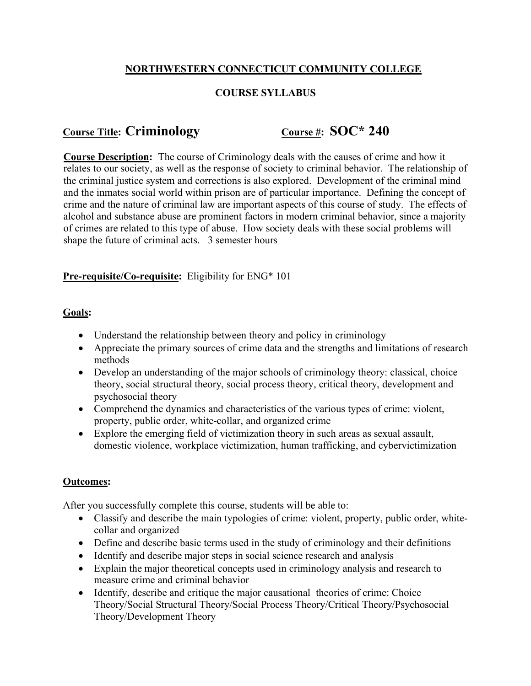## **NORTHWESTERN CONNECTICUT COMMUNITY COLLEGE**

### **COURSE SYLLABUS**

# **Course Title: Criminology Course #: SOC\* 240**

**Course Description:** The course of Criminology deals with the causes of crime and how it relates to our society, as well as the response of society to criminal behavior. The relationship of the criminal justice system and corrections is also explored. Development of the criminal mind and the inmates social world within prison are of particular importance. Defining the concept of crime and the nature of criminal law are important aspects of this course of study. The effects of alcohol and substance abuse are prominent factors in modern criminal behavior, since a majority of crimes are related to this type of abuse. How society deals with these social problems will shape the future of criminal acts. 3 semester hours

#### **Pre-requisite/Co-requisite:** Eligibility for ENG\* 101

#### **Goals:**

- Understand the relationship between theory and policy in criminology
- Appreciate the primary sources of crime data and the strengths and limitations of research methods
- Develop an understanding of the major schools of criminology theory: classical, choice theory, social structural theory, social process theory, critical theory, development and psychosocial theory
- Comprehend the dynamics and characteristics of the various types of crime: violent, property, public order, white-collar, and organized crime
- Explore the emerging field of victimization theory in such areas as sexual assault, domestic violence, workplace victimization, human trafficking, and cybervictimization

#### **Outcomes:**

After you successfully complete this course, students will be able to:

- Classify and describe the main typologies of crime: violent, property, public order, whitecollar and organized
- Define and describe basic terms used in the study of criminology and their definitions
- Identify and describe major steps in social science research and analysis
- Explain the major theoretical concepts used in criminology analysis and research to measure crime and criminal behavior
- Identify, describe and critique the major causational theories of crime: Choice Theory/Social Structural Theory/Social Process Theory/Critical Theory/Psychosocial Theory/Development Theory